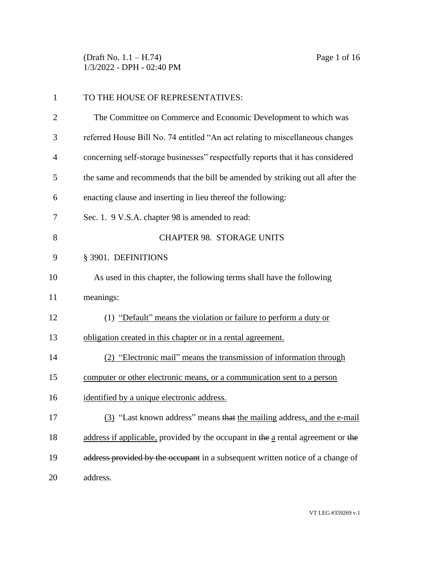(Draft No. 1.1 – H.74) Page 1 of 16 1/3/2022 - DPH - 02:40 PM

| 1  | TO THE HOUSE OF REPRESENTATIVES:                                                 |
|----|----------------------------------------------------------------------------------|
| 2  | The Committee on Commerce and Economic Development to which was                  |
| 3  | referred House Bill No. 74 entitled "An act relating to miscellaneous changes    |
| 4  | concerning self-storage businesses" respectfully reports that it has considered  |
| 5  | the same and recommends that the bill be amended by striking out all after the   |
| 6  | enacting clause and inserting in lieu thereof the following:                     |
| 7  | Sec. 1. 9 V.S.A. chapter 98 is amended to read:                                  |
| 8  | <b>CHAPTER 98. STORAGE UNITS</b>                                                 |
| 9  | § 3901. DEFINITIONS                                                              |
| 10 | As used in this chapter, the following terms shall have the following            |
| 11 | meanings:                                                                        |
| 12 | (1) "Default" means the violation or failure to perform a duty or                |
| 13 | obligation created in this chapter or in a rental agreement.                     |
| 14 | (2) "Electronic mail" means the transmission of information through              |
| 15 | computer or other electronic means, or a communication sent to a person          |
| 16 | identified by a unique electronic address.                                       |
| 17 | (3) "Last known address" means that the mailing address, and the e-mail          |
| 18 | address if applicable, provided by the occupant in the a rental agreement or the |
| 19 | address provided by the occupant in a subsequent written notice of a change of   |
| 20 | address.                                                                         |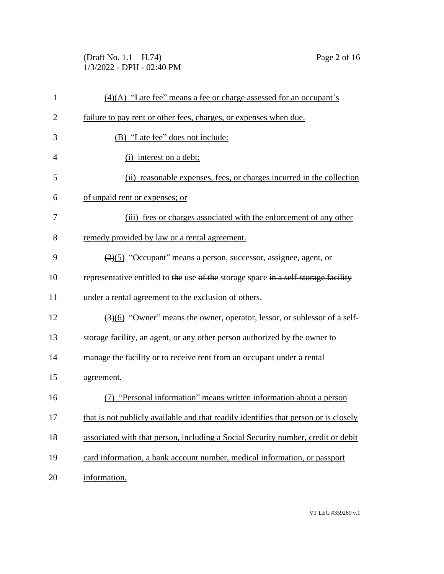(Draft No. 1.1 – H.74) Page 2 of 16 1/3/2022 - DPH - 02:40 PM

| $\mathbf{1}$   | $(4)(A)$ "Late fee" means a fee or charge assessed for an occupant's                          |
|----------------|-----------------------------------------------------------------------------------------------|
| $\overline{c}$ | failure to pay rent or other fees, charges, or expenses when due.                             |
| 3              | (B) "Late fee" does not include:                                                              |
| 4              | (i) interest on a debt;                                                                       |
| 5              | (ii) reasonable expenses, fees, or charges incurred in the collection                         |
| 6              | of unpaid rent or expenses; or                                                                |
| 7              | (iii) fees or charges associated with the enforcement of any other                            |
| 8              | remedy provided by law or a rental agreement.                                                 |
| 9              | $\left(\frac{2}{2}\right)$ "Occupant" means a person, successor, assignee, agent, or          |
| 10             | representative entitled to the use of the storage space in a self-storage facility            |
| 11             | under a rental agreement to the exclusion of others.                                          |
| 12             | $\left(\frac{3}{6}\right)$ "Owner" means the owner, operator, lessor, or sublessor of a self- |
| 13             | storage facility, an agent, or any other person authorized by the owner to                    |
| 14             | manage the facility or to receive rent from an occupant under a rental                        |
| 15             | agreement.                                                                                    |
| 16             | (7) "Personal information" means written information about a person                           |
| 17             | that is not publicly available and that readily identifies that person or is closely          |
| 18             | associated with that person, including a Social Security number, credit or debit              |
| 19             | card information, a bank account number, medical information, or passport                     |
| 20             | information.                                                                                  |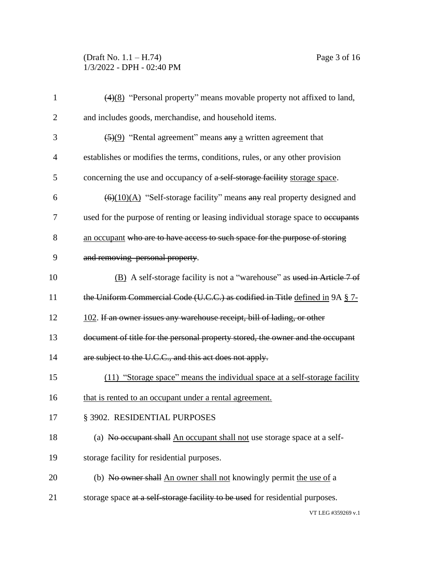# (Draft No. 1.1 – H.74) Page 3 of 16 1/3/2022 - DPH - 02:40 PM

| $\mathbf{1}$   | $\frac{4(4)(8)}{8}$ "Personal property" means movable property not affixed to land,                  |
|----------------|------------------------------------------------------------------------------------------------------|
| $\overline{2}$ | and includes goods, merchandise, and household items.                                                |
| 3              | $\left(\frac{5}{9}\right)$ "Rental agreement" means any a written agreement that                     |
| $\overline{4}$ | establishes or modifies the terms, conditions, rules, or any other provision                         |
| 5              | concerning the use and occupancy of a self-storage facility storage space.                           |
| 6              | $\left(\frac{6}{(10)(\text{A})}\right)$ "Self-storage facility" means any real property designed and |
| 7              | used for the purpose of renting or leasing individual storage space to occupants                     |
| 8              | an occupant who are to have access to such space for the purpose of storing                          |
| 9              | and removing personal property.                                                                      |
| 10             | (B) A self-storage facility is not a "warehouse" as used in Article 7 of                             |
| 11             | the Uniform Commercial Code (U.C.C.) as codified in Title defined in 9A § 7-                         |
| 12             | 102. If an owner issues any warehouse receipt, bill of lading, or other                              |
| 13             | document of title for the personal property stored, the owner and the occupant                       |
| 14             | are subject to the U.C.C., and this act does not apply.                                              |
| 15             | (11) "Storage space" means the individual space at a self-storage facility                           |
| 16             | that is rented to an occupant under a rental agreement.                                              |
| 17             | § 3902. RESIDENTIAL PURPOSES                                                                         |
| 18             | (a) No occupant shall An occupant shall not use storage space at a self-                             |
| 19             | storage facility for residential purposes.                                                           |
| 20             | (b) No owner shall An owner shall not knowingly permit the use of a                                  |
| 21             | storage space at a self-storage facility to be used for residential purposes.                        |
|                |                                                                                                      |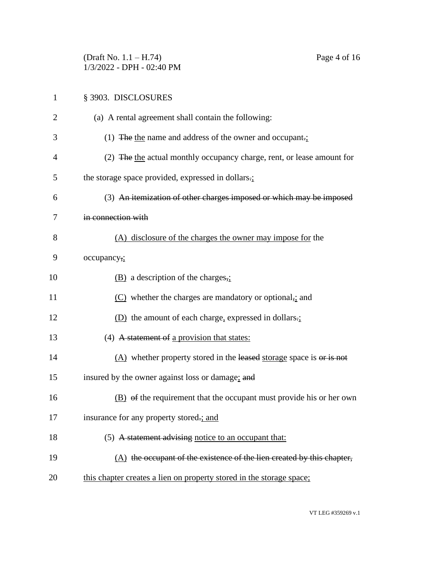(Draft No. 1.1 – H.74) Page 4 of 16 1/3/2022 - DPH - 02:40 PM

| $\mathbf{1}$   | § 3903. DISCLOSURES                                                    |
|----------------|------------------------------------------------------------------------|
| $\overline{2}$ | (a) A rental agreement shall contain the following:                    |
| 3              | (1) The the name and address of the owner and occupant.                |
| 4              | (2) The the actual monthly occupancy charge, rent, or lease amount for |
| 5              | the storage space provided, expressed in dollars.;                     |
| 6              | (3) An itemization of other charges imposed or which may be imposed    |
| 7              | in connection with                                                     |
| 8              | (A) disclosure of the charges the owner may impose for the             |
| 9              | occupancy,;                                                            |
| 10             | $(B)$ a description of the charges,                                    |
| 11             | $(C)$ whether the charges are mandatory or optional, and               |
| 12             | (D) the amount of each charge, expressed in dollars.;                  |
| 13             | $(4)$ A statement of a provision that states:                          |
| 14             | $(A)$ whether property stored in the leased storage space is or is not |
| 15             | insured by the owner against loss or damage; and                       |
| 16             | (B) of the requirement that the occupant must provide his or her own   |
| 17             | insurance for any property stored.; and                                |
| 18             | (5) A statement advising notice to an occupant that:                   |
| 19             | (A) the occupant of the existence of the lien created by this chapter, |

20 this chapter creates a lien on property stored in the storage space;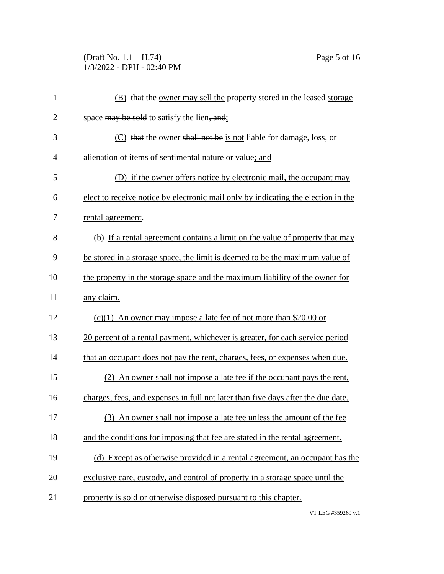## (Draft No. 1.1 – H.74) Page 5 of 16 1/3/2022 - DPH - 02:40 PM

| $\mathbf{1}$   | (B) that the owner may sell the property stored in the leased storage             |
|----------------|-----------------------------------------------------------------------------------|
| $\overline{2}$ | space may be sold to satisfy the lien, and;                                       |
| 3              | (C) that the owner shall not be is not liable for damage, loss, or                |
| $\overline{4}$ | alienation of items of sentimental nature or value; and                           |
| 5              | (D) if the owner offers notice by electronic mail, the occupant may               |
| 6              | elect to receive notice by electronic mail only by indicating the election in the |
| 7              | rental agreement.                                                                 |
| 8              | (b) If a rental agreement contains a limit on the value of property that may      |
| 9              | be stored in a storage space, the limit is deemed to be the maximum value of      |
| 10             | the property in the storage space and the maximum liability of the owner for      |
| 11             | any claim.                                                                        |
| 12             | $(c)(1)$ An owner may impose a late fee of not more than \$20.00 or               |
| 13             | 20 percent of a rental payment, whichever is greater, for each service period     |
| 14             | that an occupant does not pay the rent, charges, fees, or expenses when due.      |
| 15             | (2) An owner shall not impose a late fee if the occupant pays the rent,           |
| 16             | charges, fees, and expenses in full not later than five days after the due date.  |
| 17             | (3) An owner shall not impose a late fee unless the amount of the fee             |
| 18             | and the conditions for imposing that fee are stated in the rental agreement.      |
| 19             | (d) Except as otherwise provided in a rental agreement, an occupant has the       |
| 20             | exclusive care, custody, and control of property in a storage space until the     |
| 21             | property is sold or otherwise disposed pursuant to this chapter.                  |
|                |                                                                                   |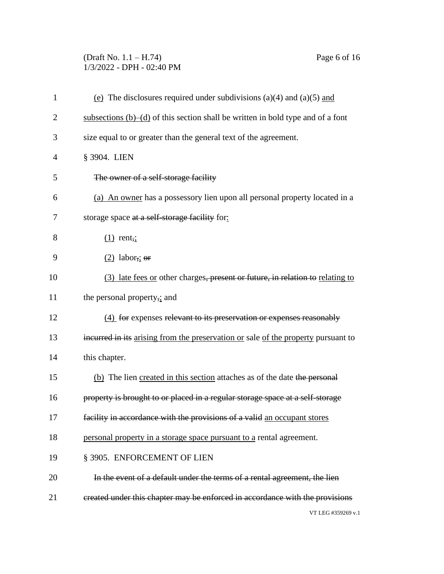# (Draft No. 1.1 – H.74) Page 6 of 16 1/3/2022 - DPH - 02:40 PM

| $\mathbf{1}$   | (e) The disclosures required under subdivisions (a)(4) and (a)(5) and              |
|----------------|------------------------------------------------------------------------------------|
| $\overline{2}$ | subsections $(b)$ –(d) of this section shall be written in bold type and of a font |
| 3              | size equal to or greater than the general text of the agreement.                   |
| 4              | § 3904. LIEN                                                                       |
| 5              | The owner of a self-storage facility                                               |
| 6              | (a) An owner has a possessory lien upon all personal property located in a         |
| 7              | storage space at a self-storage facility for:                                      |
| 8              | $(1)$ rent,;                                                                       |
| 9              | $(2)$ labor <sub>7</sub> ; or                                                      |
| 10             | (3) late fees or other charges, present or future, in relation to relating to      |
| 11             | the personal property,; and                                                        |
| 12             | (4) for expenses relevant to its preservation or expenses reasonably               |
| 13             | incurred in its arising from the preservation or sale of the property pursuant to  |
| 14             | this chapter.                                                                      |
| 15             | (b) The lien created in this section attaches as of the date the personal          |
| 16             | property is brought to or placed in a regular storage space at a self-storage      |
| 17             | facility in accordance with the provisions of a valid an occupant stores           |
| 18             | personal property in a storage space pursuant to a rental agreement.               |
| 19             | § 3905. ENFORCEMENT OF LIEN                                                        |
| 20             | In the event of a default under the terms of a rental agreement, the lien          |
| 21             | created under this chapter may be enforced in accordance with the provisions       |
|                | VT LEG #359269 v.1                                                                 |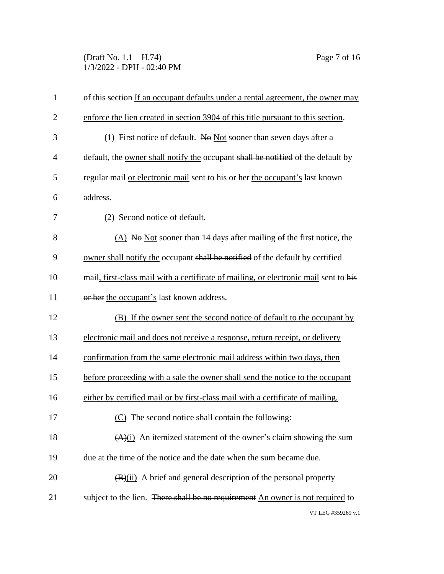(Draft No. 1.1 – H.74) Page 7 of 16 1/3/2022 - DPH - 02:40 PM

| $\mathbf{1}$   | of this section If an occupant defaults under a rental agreement, the owner may         |
|----------------|-----------------------------------------------------------------------------------------|
| $\overline{2}$ | enforce the lien created in section 3904 of this title pursuant to this section.        |
| 3              | (1) First notice of default. No Not sooner than seven days after a                      |
| $\overline{4}$ | default, the <u>owner shall notify the</u> occupant shall be notified of the default by |
| 5              | regular mail or electronic mail sent to his or her the occupant's last known            |
| 6              | address.                                                                                |
| 7              | (2) Second notice of default.                                                           |
| 8              | (A) No Not sooner than 14 days after mailing $\theta$ f the first notice, the           |
| 9              | owner shall notify the occupant shall be notified of the default by certified           |
| 10             | mail, first-class mail with a certificate of mailing, or electronic mail sent to his    |
| 11             | or her the occupant's last known address.                                               |
| 12             | (B) If the owner sent the second notice of default to the occupant by                   |
| 13             | electronic mail and does not receive a response, return receipt, or delivery            |
| 14             | confirmation from the same electronic mail address within two days, then                |
| 15             | before proceeding with a sale the owner shall send the notice to the occupant           |
| 16             | either by certified mail or by first-class mail with a certificate of mailing.          |
| 17             | (C) The second notice shall contain the following:                                      |
| 18             | $(A)(i)$ An itemized statement of the owner's claim showing the sum                     |
| 19             | due at the time of the notice and the date when the sum became due.                     |
| 20             | $\frac{1}{2}$ (B)(ii) A brief and general description of the personal property          |
| 21             | subject to the lien. There shall be no requirement An owner is not required to          |
|                |                                                                                         |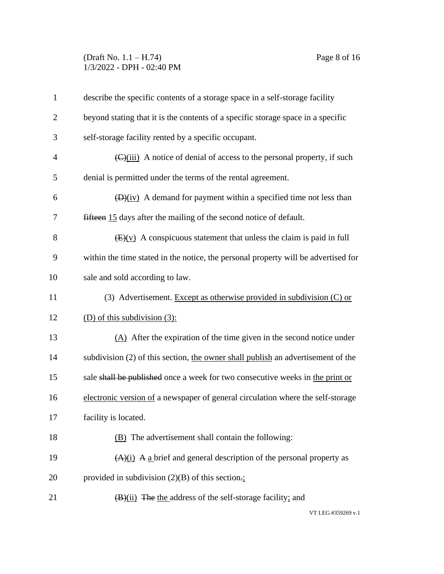#### (Draft No. 1.1 – H.74) Page 8 of 16 1/3/2022 - DPH - 02:40 PM

| $\mathbf{1}$   | describe the specific contents of a storage space in a self-storage facility                      |
|----------------|---------------------------------------------------------------------------------------------------|
| $\overline{2}$ | beyond stating that it is the contents of a specific storage space in a specific                  |
| 3              | self-storage facility rented by a specific occupant.                                              |
| $\overline{4}$ | $\left(\frac{C}{\text{ii}}\right)$ A notice of denial of access to the personal property, if such |
| 5              | denial is permitted under the terms of the rental agreement.                                      |
| 6              | $\overline{(D)(iv)}$ A demand for payment within a specified time not less than                   |
| 7              | fifteen 15 days after the mailing of the second notice of default.                                |
| 8              | $\frac{1}{2}$ (E)(v) A conspicuous statement that unless the claim is paid in full                |
| 9              | within the time stated in the notice, the personal property will be advertised for                |
| 10             | sale and sold according to law.                                                                   |
| 11             | (3) Advertisement. Except as otherwise provided in subdivision (C) or                             |
| 12             | (D) of this subdivision $(3)$ :                                                                   |
| 13             | $(A)$ After the expiration of the time given in the second notice under                           |
| 14             | subdivision (2) of this section, the owner shall publish an advertisement of the                  |
| 15             | sale shall be published once a week for two consecutive weeks in the print or                     |
| 16             | electronic version of a newspaper of general circulation where the self-storage                   |
| 17             | facility is located.                                                                              |
| 18             | (B) The advertisement shall contain the following:                                                |
| 19             | $(A)(i)$ A a brief and general description of the personal property as                            |
| 20             | provided in subdivision $(2)(B)$ of this section.                                                 |
| 21             | $(B)(ii)$ The the address of the self-storage facility; and                                       |
|                |                                                                                                   |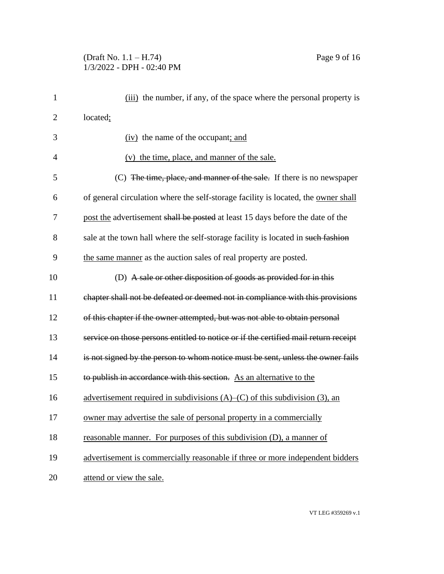#### (Draft No. 1.1 – H.74) Page 9 of 16 1/3/2022 - DPH - 02:40 PM

| $\mathbf{1}$   | (iii) the number, if any, of the space where the personal property is               |
|----------------|-------------------------------------------------------------------------------------|
| $\overline{2}$ | located;                                                                            |
| 3              | (iv) the name of the occupant; and                                                  |
| $\overline{4}$ | (v) the time, place, and manner of the sale.                                        |
| 5              | (C) The time, place, and manner of the sale. If there is no newspaper               |
| 6              | of general circulation where the self-storage facility is located, the owner shall  |
| 7              | post the advertisement shall be posted at least 15 days before the date of the      |
| 8              | sale at the town hall where the self-storage facility is located in such fashion    |
| 9              | the same manner as the auction sales of real property are posted.                   |
| 10             | (D) A sale or other disposition of goods as provided for in this                    |
| 11             | chapter shall not be defeated or deemed not in compliance with this provisions      |
| 12             | of this chapter if the owner attempted, but was not able to obtain personal         |
| 13             | service on those persons entitled to notice or if the certified mail return receipt |
| 14             | is not signed by the person to whom notice must be sent, unless the owner fails     |
| 15             | to publish in accordance with this section. As an alternative to the                |
| 16             | advertisement required in subdivisions $(A)$ – $(C)$ of this subdivision (3), an    |
| 17             | owner may advertise the sale of personal property in a commercially                 |
| 18             | reasonable manner. For purposes of this subdivision (D), a manner of                |
| 19             | advertisement is commercially reasonable if three or more independent bidders       |
| 20             | attend or view the sale.                                                            |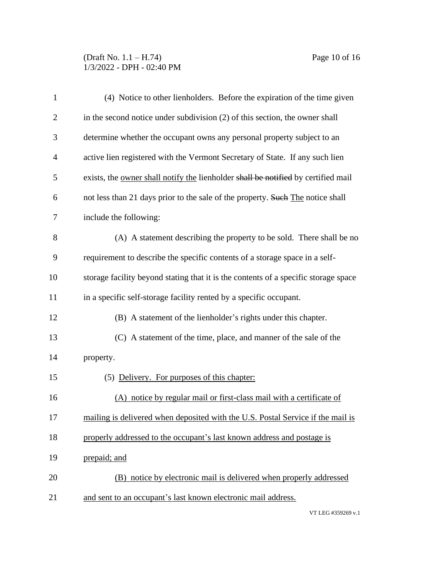# (Draft No. 1.1 – H.74) Page 10 of 16 1/3/2022 - DPH - 02:40 PM

| $\mathbf{1}$   | (4) Notice to other lienholders. Before the expiration of the time given            |
|----------------|-------------------------------------------------------------------------------------|
| $\overline{2}$ | in the second notice under subdivision (2) of this section, the owner shall         |
| 3              | determine whether the occupant owns any personal property subject to an             |
| 4              | active lien registered with the Vermont Secretary of State. If any such lien        |
| 5              | exists, the owner shall notify the lienholder shall be notified by certified mail   |
| 6              | not less than 21 days prior to the sale of the property. Such The notice shall      |
| 7              | include the following:                                                              |
| 8              | (A) A statement describing the property to be sold. There shall be no               |
| 9              | requirement to describe the specific contents of a storage space in a self-         |
| 10             | storage facility beyond stating that it is the contents of a specific storage space |
| 11             | in a specific self-storage facility rented by a specific occupant.                  |
| 12             | (B) A statement of the lienholder's rights under this chapter.                      |
| 13             | (C) A statement of the time, place, and manner of the sale of the                   |
| 14             | property.                                                                           |
| 15             | (5) Delivery. For purposes of this chapter:                                         |
| 16             | (A) notice by regular mail or first-class mail with a certificate of                |
| 17             | mailing is delivered when deposited with the U.S. Postal Service if the mail is     |
| 18             | properly addressed to the occupant's last known address and postage is              |
| 19             | prepaid; and                                                                        |
| 20             | (B) notice by electronic mail is delivered when properly addressed                  |
| 21             | and sent to an occupant's last known electronic mail address.                       |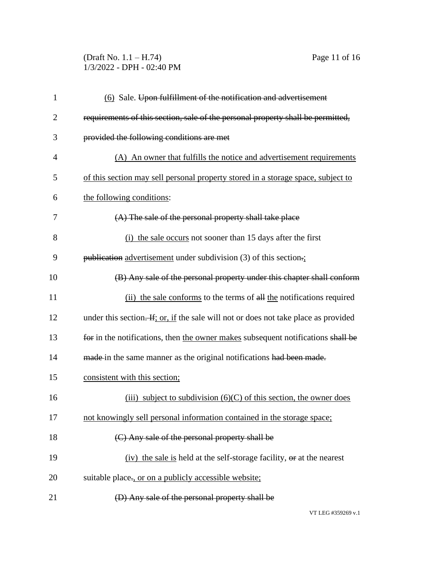#### (Draft No. 1.1 – H.74) Page 11 of 16 1/3/2022 - DPH - 02:40 PM

| $\mathbf{1}$   | (6) Sale. Upon fulfillment of the notification and advertisement                    |
|----------------|-------------------------------------------------------------------------------------|
| $\overline{2}$ | requirements of this section, sale of the personal property shall be permitted,     |
| 3              | provided the following conditions are met                                           |
| $\overline{4}$ | (A) An owner that fulfills the notice and advertisement requirements                |
| 5              | of this section may sell personal property stored in a storage space, subject to    |
| 6              | the following conditions:                                                           |
| 7              | (A) The sale of the personal property shall take place                              |
| 8              | (i) the sale occurs not sooner than 15 days after the first                         |
| 9              | publication advertisement under subdivision (3) of this section.                    |
| 10             | (B) Any sale of the personal property under this chapter shall conform              |
| 11             | (ii) the sale conforms to the terms of all the notifications required               |
| 12             | under this section. If; or, if the sale will not or does not take place as provided |
| 13             | for in the notifications, then the owner makes subsequent notifications shall be    |
| 14             | made in the same manner as the original notifications had been made.                |
| 15             | consistent with this section;                                                       |
| 16             | (iii) subject to subdivision $(6)(C)$ of this section, the owner does               |
| 17             | not knowingly sell personal information contained in the storage space;             |
| 18             | (C) Any sale of the personal property shall be                                      |
| 19             | (iv) the sale is held at the self-storage facility, or at the nearest               |
| 20             | suitable place., or on a publicly accessible website;                               |
| 21             | (D) Any sale of the personal property shall be                                      |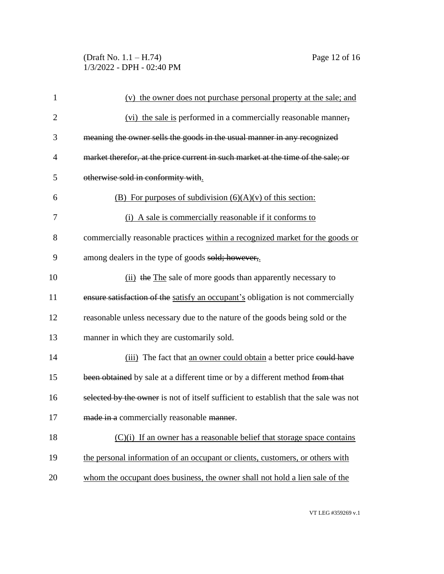# (Draft No. 1.1 – H.74) Page 12 of 16 1/3/2022 - DPH - 02:40 PM

| $\mathbf{1}$   | (v) the owner does not purchase personal property at the sale; and                   |
|----------------|--------------------------------------------------------------------------------------|
| $\overline{2}$ | (vi) the sale is performed in a commercially reasonable manner,                      |
| 3              | meaning the owner sells the goods in the usual manner in any recognized              |
| $\overline{4}$ | market therefor, at the price current in such market at the time of the sale; or     |
| 5              | otherwise sold in conformity with.                                                   |
| 6              | (B) For purposes of subdivision $(6)(A)(v)$ of this section:                         |
| 7              | (i) A sale is commercially reasonable if it conforms to                              |
| 8              | commercially reasonable practices within a recognized market for the goods or        |
| 9              | among dealers in the type of goods sold; however,                                    |
| 10             | (ii) the The sale of more goods than apparently necessary to                         |
| 11             | ensure satisfaction of the satisfy an occupant's obligation is not commercially      |
| 12             | reasonable unless necessary due to the nature of the goods being sold or the         |
| 13             | manner in which they are customarily sold.                                           |
| 14             | (iii) The fact that an owner could obtain a better price could have                  |
| 15             | been obtained by sale at a different time or by a different method from that         |
| 16             | selected by the owner is not of itself sufficient to establish that the sale was not |
| 17             | made in a commercially reasonable manner.                                            |
| 18             | $(C)(i)$ If an owner has a reasonable belief that storage space contains             |
| 19             | the personal information of an occupant or clients, customers, or others with        |
| 20             | whom the occupant does business, the owner shall not hold a lien sale of the         |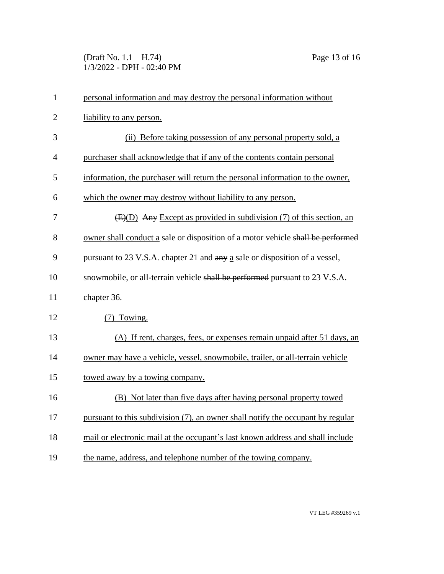(Draft No. 1.1 – H.74) Page 13 of 16 1/3/2022 - DPH - 02:40 PM

| 1              | personal information and may destroy the personal information without           |
|----------------|---------------------------------------------------------------------------------|
| $\overline{2}$ | liability to any person.                                                        |
| 3              | (ii) Before taking possession of any personal property sold, a                  |
| $\overline{4}$ | purchaser shall acknowledge that if any of the contents contain personal        |
| 5              | information, the purchaser will return the personal information to the owner,   |
| 6              | which the owner may destroy without liability to any person.                    |
| 7              | $(E)(D)$ Any Except as provided in subdivision (7) of this section, an          |
| 8              | owner shall conduct a sale or disposition of a motor vehicle shall be performed |
| 9              | pursuant to 23 V.S.A. chapter 21 and any a sale or disposition of a vessel,     |
| 10             | snowmobile, or all-terrain vehicle shall be performed pursuant to 23 V.S.A.     |
| 11             | chapter 36.                                                                     |
| 12             | (7) Towing.                                                                     |
| 13             | (A) If rent, charges, fees, or expenses remain unpaid after 51 days, an         |
| 14             | owner may have a vehicle, vessel, snowmobile, trailer, or all-terrain vehicle   |
| 15             | towed away by a towing company.                                                 |
| 16             | (B) Not later than five days after having personal property towed               |
| 17             | pursuant to this subdivision (7), an owner shall notify the occupant by regular |
| 18             | mail or electronic mail at the occupant's last known address and shall include  |
| 19             | the name, address, and telephone number of the towing company.                  |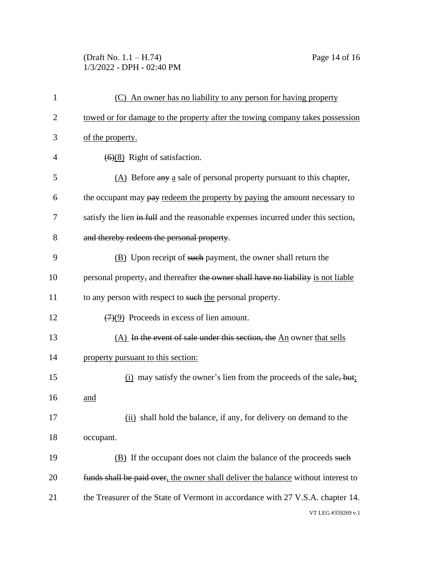#### (Draft No. 1.1 – H.74) Page 14 of 16 1/3/2022 - DPH - 02:40 PM

| 1              | (C) An owner has no liability to any person for having property                   |
|----------------|-----------------------------------------------------------------------------------|
| $\overline{2}$ | towed or for damage to the property after the towing company takes possession     |
| 3              | of the property.                                                                  |
| 4              | $\left(\frac{6}{8}\right)$ Right of satisfaction.                                 |
| 5              | (A) Before any a sale of personal property pursuant to this chapter,              |
| 6              | the occupant may pay redeem the property by paying the amount necessary to        |
| 7              | satisfy the lien in full and the reasonable expenses incurred under this section, |
| 8              | and thereby redeem the personal property.                                         |
| 9              | (B) Upon receipt of such payment, the owner shall return the                      |
| 10             | personal property, and thereafter the owner shall have no liability is not liable |
| 11             | to any person with respect to such the personal property.                         |
| 12             | $\left(\frac{7}{2}\right)$ Proceeds in excess of lien amount.                     |
| 13             | (A) In the event of sale under this section, the An owner that sells              |
| 14             | property pursuant to this section:                                                |
| 15             | $(i)$ may satisfy the owner's lien from the proceeds of the sale, but:            |
| 16             | and                                                                               |
| 17             | (ii) shall hold the balance, if any, for delivery on demand to the                |
| 18             | occupant.                                                                         |
| 19             | (B) If the occupant does not claim the balance of the proceeds such               |
| 20             | funds shall be paid over, the owner shall deliver the balance without interest to |
| 21             | the Treasurer of the State of Vermont in accordance with 27 V.S.A. chapter 14.    |
|                | VT LEG #359269 v.1                                                                |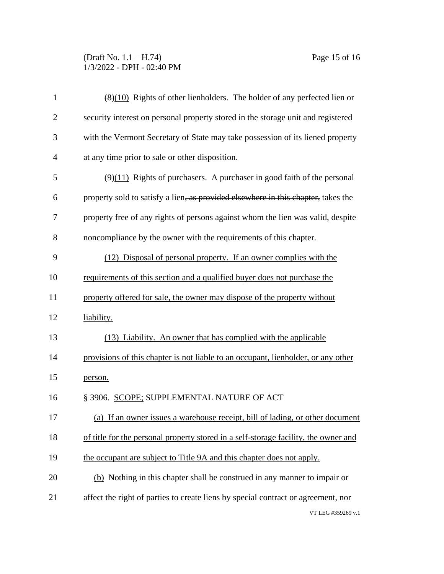# (Draft No. 1.1 – H.74) Page 15 of 16 1/3/2022 - DPH - 02:40 PM

| $\mathbf{1}$   | $\frac{1}{2}(8)(10)$ Rights of other lienholders. The holder of any perfected lien or       |
|----------------|---------------------------------------------------------------------------------------------|
| $\overline{2}$ | security interest on personal property stored in the storage unit and registered            |
| 3              | with the Vermont Secretary of State may take possession of its liened property              |
| $\overline{4}$ | at any time prior to sale or other disposition.                                             |
| 5              | $\left(\frac{9}{11}\right)$ Rights of purchasers. A purchaser in good faith of the personal |
| 6              | property sold to satisfy a lien, as provided elsewhere in this chapter, takes the           |
| 7              | property free of any rights of persons against whom the lien was valid, despite             |
| 8              | noncompliance by the owner with the requirements of this chapter.                           |
| 9              | (12) Disposal of personal property. If an owner complies with the                           |
| 10             | requirements of this section and a qualified buyer does not purchase the                    |
| 11             | property offered for sale, the owner may dispose of the property without                    |
| 12             | liability.                                                                                  |
| 13             | (13) Liability. An owner that has complied with the applicable                              |
| 14             | provisions of this chapter is not liable to an occupant, lienholder, or any other           |
| 15             | person.                                                                                     |
| 16             | § 3906. SCOPE; SUPPLEMENTAL NATURE OF ACT                                                   |
| 17             | (a) If an owner issues a warehouse receipt, bill of lading, or other document               |
| 18             | of title for the personal property stored in a self-storage facility, the owner and         |
| 19             | the occupant are subject to Title 9A and this chapter does not apply.                       |
| 20             | (b) Nothing in this chapter shall be construed in any manner to impair or                   |
| 21             | affect the right of parties to create liens by special contract or agreement, nor           |
|                | VT LEG #359269 v.1                                                                          |